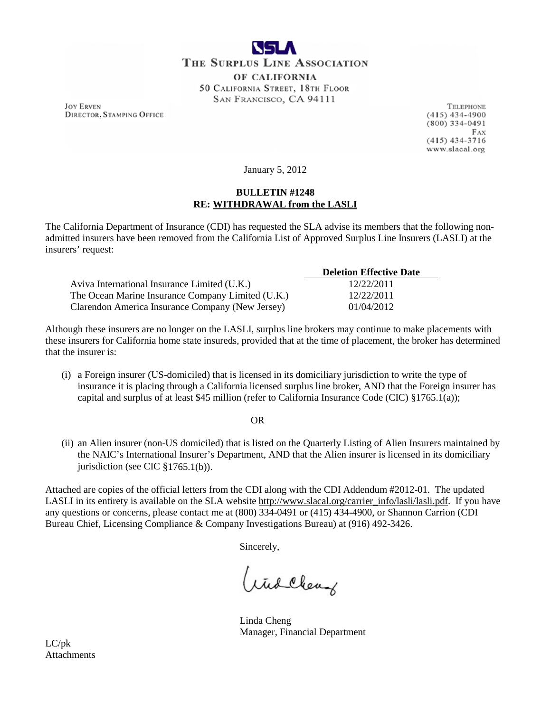

**JOY ERVEN DIRECTOR, STAMPING OFFICE** 

**TELEPHONE**  $(415)$  434-4900  $(800)$  334-0491 FAX  $(415)$  434-3716 www.slacal.org

January 5, 2012

## **BULLETIN #1248 RE: WITHDRAWAL from the LASLI**

The California Department of Insurance (CDI) has requested the SLA advise its members that the following nonadmitted insurers have been removed from the California List of Approved Surplus Line Insurers (LASLI) at the insurers' request:

|                                                   | <b>Deletion Effective Date</b> |
|---------------------------------------------------|--------------------------------|
| Aviva International Insurance Limited (U.K.)      | 12/22/2011                     |
| The Ocean Marine Insurance Company Limited (U.K.) | 12/22/2011                     |
| Clarendon America Insurance Company (New Jersey)  | 01/04/2012                     |

Although these insurers are no longer on the LASLI, surplus line brokers may continue to make placements with these insurers for California home state insureds, provided that at the time of placement, the broker has determined that the insurer is:

(i) a Foreign insurer (US-domiciled) that is licensed in its domiciliary jurisdiction to write the type of insurance it is placing through a California licensed surplus line broker, AND that the Foreign insurer has capital and surplus of at least \$45 million (refer to California Insurance Code (CIC) §1765.1(a));

**OR** Service Service Service Service Service Service Service Service Service Service Service Service Service Service Service Service Service Service Service Service Service Service Service Service Service Service Service S

(ii) an Alien insurer (non-US domiciled) that is listed on the Quarterly Listing of Alien Insurers maintained by the NAIC's International Insurer's Department, AND that the Alien insurer is licensed in its domiciliary jurisdiction (see CIC §1765.1(b)).

Attached are copies of the official letters from the CDI along with the CDI Addendum #2012-01. The updated LASLI in its entirety is available on the SLA website [http://www.slacal.org/carrier\\_info/lasli/lasli.pdf.](http://www.slacal.org/carrier_info/lasli/lasli.pdf) If you have any questions or concerns, please contact me at (800) 334-0491 or (415) 434-4900, or Shannon Carrion (CDI Bureau Chief, Licensing Compliance & Company Investigations Bureau) at (916) 492-3426.

Sincerely,

Widcheng

Linda Cheng Manager, Financial Department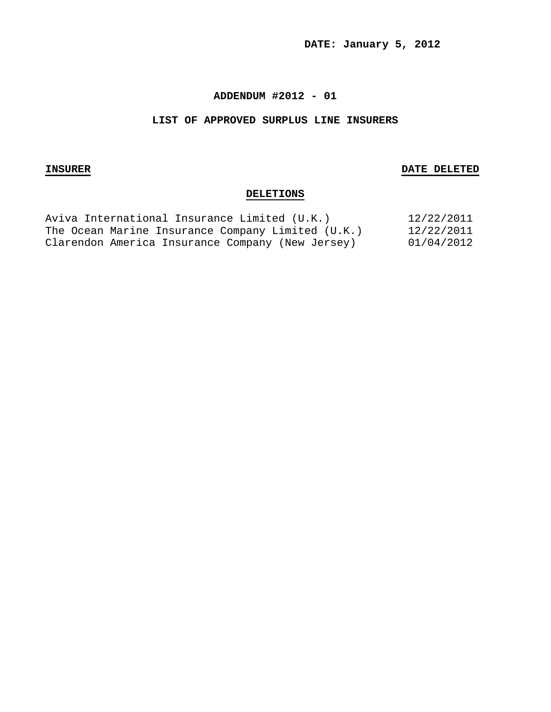**DATE: January 5, 2012**

#### **ADDENDUM #2012 - 01**

#### **LIST OF APPROVED SURPLUS LINE INSURERS**

#### **INSURER DATE DELETED**

## **DELETIONS**

| Aviva International Insurance Limited (U.K.)      | 12/22/2011 |
|---------------------------------------------------|------------|
| The Ocean Marine Insurance Company Limited (U.K.) | 12/22/2011 |
| Clarendon America Insurance Company (New Jersey)  | 01/04/2012 |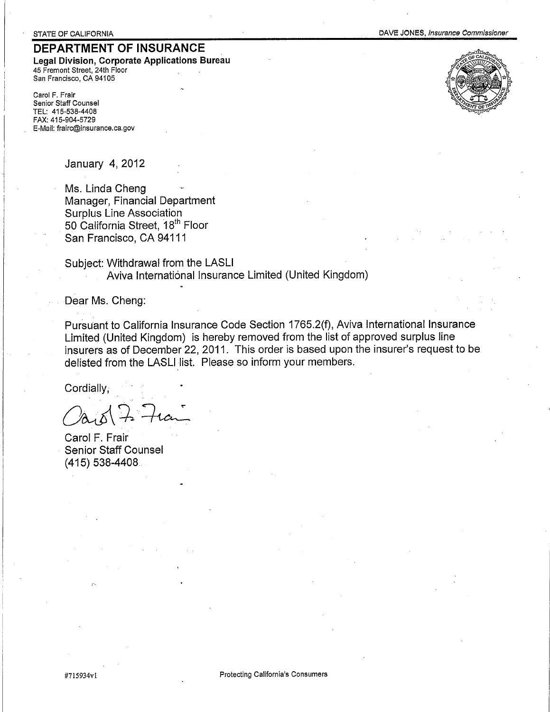# DEPARTMENT OF INSURANCE

Legal Division, Corporate Applications Bureau 45 Fremont Street, 24th Floor San Francisco, CA 94105

Carol F. Frair Senior Staff Counsel TEL: 415-538-4408 FAX: 415-904-5729 E-Mail: frairc@insurance.ca.gov



January 4, 2012

Ms. Linda Cheng Manager, Financial Department **Surplus Line Association** 50 California Street, 18<sup>th</sup> Floor San Francisco, CA 94111

Subject: Withdrawal from the LASLI Aviva International Insurance Limited (United Kingdom)

Dear Ms. Cheng:

Pursuant to California Insurance Code Section 1765.2(f), Aviva International Insurance Limited (United Kingdom) is hereby removed from the list of approved surplus line insurers as of December 22, 2011. This order is based upon the insurer's request to be delisted from the LASLI list. Please so inform your members.

Cordially,

Carol F. Frair **Senior Staff Counsel** (415) 538-4408.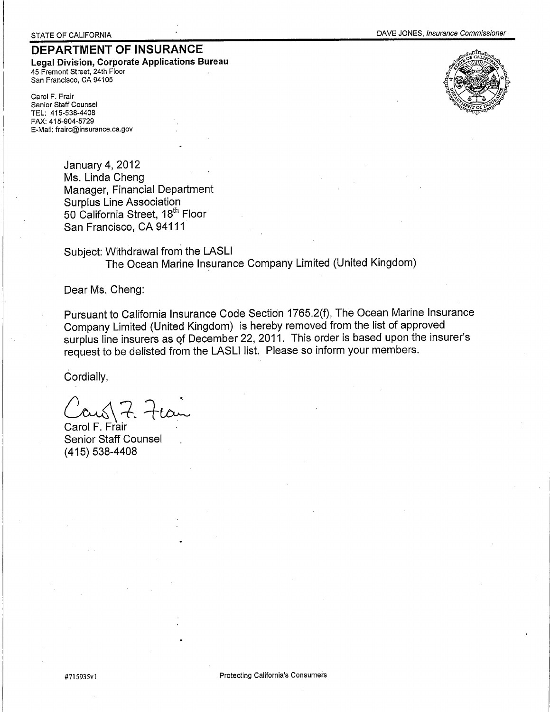# DEPARTMENT OF INSURANCE

Legal Division, Corporate Applications Bureau 45 Fremont Street, 24th Floor San Francisco, CA 94105

Carol F. Frair Senior Staff Counsel TEL: 415-538-4408 FAX: 415-904-5729 E-Mail: frairc@insurance.ca.gov





**January 4, 2012** Ms. Linda Cheng Manager, Financial Department **Surplus Line Association** 50 California Street, 18<sup>th</sup> Floor San Francisco, CA 94111

Subject: Withdrawal from the LASLI The Ocean Marine Insurance Company Limited (United Kingdom)

Dear Ms. Cheng:

Pursuant to California Insurance Code Section 1765.2(f), The Ocean Marine Insurance Company Limited (United Kingdom) is hereby removed from the list of approved surplus line insurers as of December 22, 2011. This order is based upon the insurer's request to be delisted from the LASLI list. Please so inform your members.

Cordially,

ans 7.

Carol F. Frair **Senior Staff Counsel** (415) 538-4408